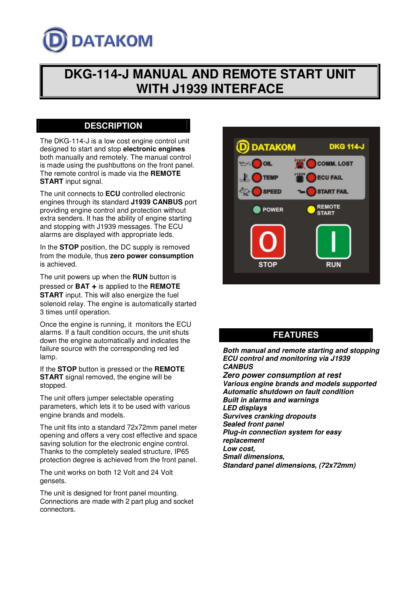

# **DKG-114-J MANUAL AND REMOTE START UNIT WITH J1939 INTERFACE**

#### **DESCRIPTION**

The DKG-114-J is a low cost engine control unit designed to start and stop **electronic engines** both manually and remotely. The manual control is made using the pushbuttons on the front panel. The remote control is made via the **REMOTE START** input signal.

The unit connects to **ECU** controlled electronic engines through its standard **J1939 CANBUS** port providing engine control and protection without extra senders. It has the ability of engine starting and stopping with J1939 messages. The ECU alarms are displayed with appropriate leds.

In the **STOP** position, the DC supply is removed from the module, thus **zero power consumption** is achieved.

The unit powers up when the **RUN** button is pressed or **BAT +** is applied to the **REMOTE START** input. This will also energize the fuel solenoid relay. The engine is automatically started 3 times until operation.

Once the engine is running, it monitors the ECU alarms. If a fault condition occurs, the unit shuts down the engine automatically and indicates the failure source with the corresponding red led lamp.

If the **STOP** button is pressed or the **REMOTE START** signal removed, the engine will be stopped.

The unit offers jumper selectable operating parameters, which lets it to be used with various engine brands and models.

The unit fits into a standard 72x72mm panel meter opening and offers a very cost effective and space saving solution for the electronic engine control. Thanks to the completely sealed structure, IP65 protection degree is achieved from the front panel.

The unit works on both 12 Volt and 24 Volt gensets.

The unit is designed for front panel mounting. Connections are made with 2 part plug and socket connectors.



## **FEATURES**

*Both manual and remote starting and stopping ECU control and monitoring via J1939 CANBUS Zero power consumption at rest*

*Various engine brands and models supported Automatic shutdown on fault condition Built in alarms and warnings LED displays Survives cranking dropouts Sealed front panel Plug-in connection system for easy replacement Low cost, Small dimensions, Standard panel dimensions, (72x72mm)*